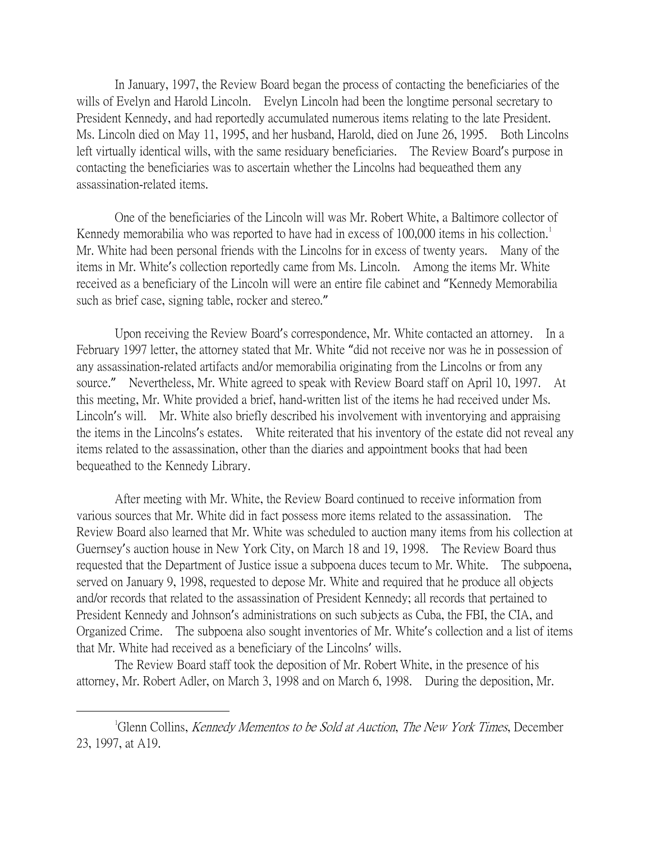In January, 1997, the Review Board began the process of contacting the beneficiaries of the wills of Evelyn and Harold Lincoln. Evelyn Lincoln had been the longtime personal secretary to President Kennedy, and had reportedly accumulated numerous items relating to the late President. Ms. Lincoln died on May 11, 1995, and her husband, Harold, died on June 26, 1995. Both Lincolns left virtually identical wills, with the same residuary beneficiaries. The Review Board's purpose in contacting the beneficiaries was to ascertain whether the Lincolns had bequeathed them any assassination-related items.

One of the beneficiaries of the Lincoln will was Mr. Robert White, a Baltimore collector of Kennedy memorabilia who was reported to have had in excess of [1](#page-0-0)00,000 items in his collection.<sup>1</sup> Mr. White had been personal friends with the Lincolns for in excess of twenty years. Many of the items in Mr. White's collection reportedly came from Ms. Lincoln. Among the items Mr. White received as a beneficiary of the Lincoln will were an entire file cabinet and "Kennedy Memorabilia such as brief case, signing table, rocker and stereo."

Upon receiving the Review Board's correspondence, Mr. White contacted an attorney. In a February 1997 letter, the attorney stated that Mr. White "did not receive nor was he in possession of any assassination-related artifacts and/or memorabilia originating from the Lincolns or from any source." Nevertheless, Mr. White agreed to speak with Review Board staff on April 10, 1997. At this meeting, Mr. White provided a brief, hand-written list of the items he had received under Ms. Lincoln's will. Mr. White also briefly described his involvement with inventorying and appraising the items in the Lincolns's estates. White reiterated that his inventory of the estate did not reveal any items related to the assassination, other than the diaries and appointment books that had been bequeathed to the Kennedy Library.

After meeting with Mr. White, the Review Board continued to receive information from various sources that Mr. White did in fact possess more items related to the assassination. The Review Board also learned that Mr. White was scheduled to auction many items from his collection at Guernsey's auction house in New York City, on March 18 and 19, 1998. The Review Board thus requested that the Department of Justice issue a subpoena duces tecum to Mr. White. The subpoena, served on January 9, 1998, requested to depose Mr. White and required that he produce all objects and/or records that related to the assassination of President Kennedy; all records that pertained to President Kennedy and Johnson's administrations on such subjects as Cuba, the FBI, the CIA, and Organized Crime. The subpoena also sought inventories of Mr. White's collection and a list of items that Mr. White had received as a beneficiary of the Lincolns' wills.

The Review Board staff took the deposition of Mr. Robert White, in the presence of his attorney, Mr. Robert Adler, on March 3, 1998 and on March 6, 1998. During the deposition, Mr.

<span id="page-0-0"></span> $\overline{\phantom{a}}$ Glenn Collins, Kennedy Mementos to be Sold at Auction, The New York Times, December 23, 1997, at A19.